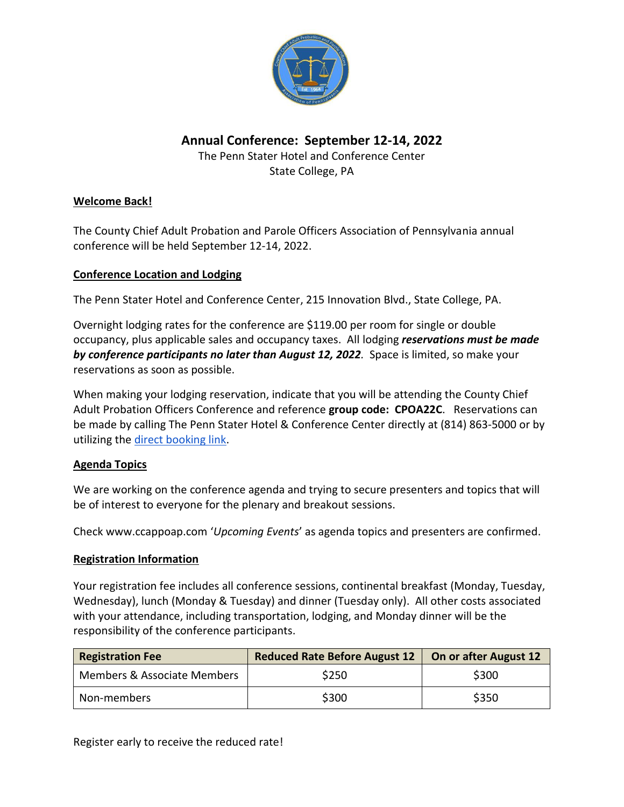

# **Annual Conference: September 12-14, 2022**

The Penn Stater Hotel and Conference Center State College, PA

## **Welcome Back!**

The County Chief Adult Probation and Parole Officers Association of Pennsylvania annual conference will be held September 12-14, 2022.

## **Conference Location and Lodging**

The Penn Stater Hotel and Conference Center, 215 Innovation Blvd., State College, PA.

Overnight lodging rates for the conference are \$119.00 per room for single or double occupancy, plus applicable sales and occupancy taxes. All lodging *reservations must be made by conference participants no later than August 12, 2022.* Space is limited, so make your reservations as soon as possible.

When making your lodging reservation, indicate that you will be attending the County Chief Adult Probation Officers Conference and reference **group code: CPOA22C**. Reservations can be made by calling The Penn Stater Hotel & Conference Center directly at (814) 863-5000 or by utilizing the [direct booking link.](https://nam10.safelinks.protection.outlook.com/?url=https%3A%2F%2Fbe.synxis.com%2F%3FHotel%3D475%26Chain%3D12211%26config%3DSCEPS%26theme%3DSCEPS%26arrive%3D2022-09-11%26depart%3D2022-09-14%26adult%3D1%26child%3D0%26group%3DCPOA22C&data=04%7C01%7Cpks5%40psu.edu%7C48445354851145ffab0a08da1d85db0d%7C7cf48d453ddb4389a9c1c115526eb52e%7C0%7C0%7C637854757979781361%7CUnknown%7CTWFpbGZsb3d8eyJWIjoiMC4wLjAwMDAiLCJQIjoiV2luMzIiLCJBTiI6Ik1haWwiLCJXVCI6Mn0%3D%7C3000&sdata=3o61aU%2Fjhnc8dBCnb26mGB6ZOD90%2FOBUYFHHwZM6dc4%3D&reserved=0)

## **Agenda Topics**

We are working on the conference agenda and trying to secure presenters and topics that will be of interest to everyone for the plenary and breakout sessions.

Check [www.ccappoap.com](http://www.ccappoap.com/) '*Upcoming Events*' as agenda topics and presenters are confirmed.

## **Registration Information**

Your registration fee includes all conference sessions, continental breakfast (Monday, Tuesday, Wednesday), lunch (Monday & Tuesday) and dinner (Tuesday only). All other costs associated with your attendance, including transportation, lodging, and Monday dinner will be the responsibility of the conference participants.

| <b>Registration Fee</b>     | Reduced Rate Before August 12 | On or after August 12 |
|-----------------------------|-------------------------------|-----------------------|
| Members & Associate Members | \$250                         | \$300                 |
| Non-members                 | \$300                         | \$350                 |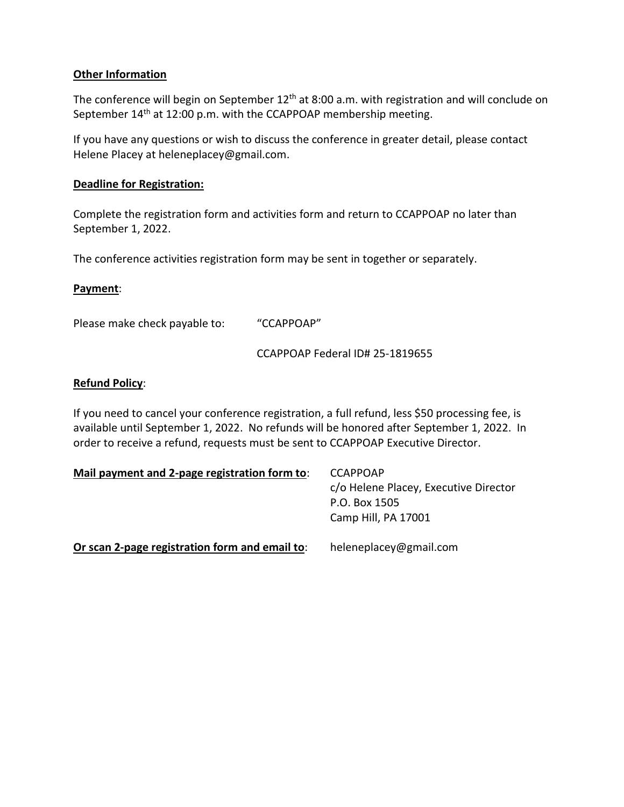#### **Other Information**

The conference will begin on September 12<sup>th</sup> at 8:00 a.m. with registration and will conclude on September 14<sup>th</sup> at 12:00 p.m. with the CCAPPOAP membership meeting.

If you have any questions or wish to discuss the conference in greater detail, please contact Helene Placey at [heleneplacey@gmail.com.](mailto:heleneplacey@gmail.com)

#### **Deadline for Registration:**

Complete the registration form and activities form and return to CCAPPOAP no later than September 1, 2022.

The conference activities registration form may be sent in together or separately.

#### **Payment**:

Please make check payable to: "CCAPPOAP"

CCAPPOAP Federal ID# 25-1819655

#### **Refund Policy**:

If you need to cancel your conference registration, a full refund, less \$50 processing fee, is available until September 1, 2022. No refunds will be honored after September 1, 2022. In order to receive a refund, requests must be sent to CCAPPOAP Executive Director.

| Mail payment and 2-page registration form to:  | <b>CCAPPOAP</b><br>c/o Helene Placey, Executive Director<br>P.O. Box 1505<br>Camp Hill, PA 17001 |  |
|------------------------------------------------|--------------------------------------------------------------------------------------------------|--|
| Or scan 2-page registration form and email to: | heleneplacey@gmail.com                                                                           |  |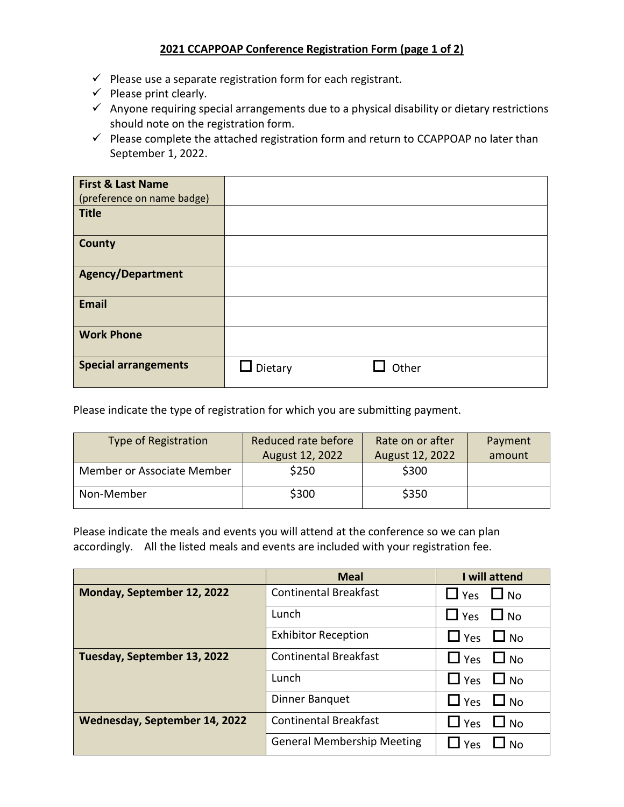#### **2021 CCAPPOAP Conference Registration Form (page 1 of 2)**

- $\checkmark$  Please use a separate registration form for each registrant.
- $\checkmark$  Please print clearly.
- $\checkmark$  Anyone requiring special arrangements due to a physical disability or dietary restrictions should note on the registration form.
- $\checkmark$  Please complete the attached registration form and return to CCAPPOAP no later than September 1, 2022.

| <b>First &amp; Last Name</b><br>(preference on name badge) |         |       |
|------------------------------------------------------------|---------|-------|
| Title                                                      |         |       |
| <b>County</b>                                              |         |       |
| <b>Agency/Department</b>                                   |         |       |
| <b>Email</b>                                               |         |       |
| <b>Work Phone</b>                                          |         |       |
| <b>Special arrangements</b>                                | Dietary | Other |

Please indicate the type of registration for which you are submitting payment.

| <b>Type of Registration</b> | Reduced rate before | Rate on or after | Payment |
|-----------------------------|---------------------|------------------|---------|
|                             | August 12, 2022     | August 12, 2022  | amount  |
| Member or Associate Member  | \$250               | \$300            |         |
| Non-Member                  | \$300               | \$350            |         |

Please indicate the meals and events you will attend at the conference so we can plan accordingly. All the listed meals and events are included with your registration fee.

|                               | <b>Meal</b>                       | I will attend           |
|-------------------------------|-----------------------------------|-------------------------|
| Monday, September 12, 2022    | <b>Continental Breakfast</b>      | $\Box$ No<br>$\Box$ Yes |
|                               | Lunch                             | $\Box$ No<br>$\Box$ Yes |
|                               | <b>Exhibitor Reception</b>        | $\Box$ Yes<br>$\Box$ No |
| Tuesday, September 13, 2022   | <b>Continental Breakfast</b>      | $\Box$ No<br>$\Box$ Yes |
|                               | Lunch                             | $\Box$ Yes<br>$\Box$ No |
|                               | <b>Dinner Banquet</b>             | $\Box$ Yes<br>$\Box$ No |
| Wednesday, September 14, 2022 | <b>Continental Breakfast</b>      | $\Box$ Yes<br>$\Box$ No |
|                               | <b>General Membership Meeting</b> | Yes<br>N <sub>O</sub>   |